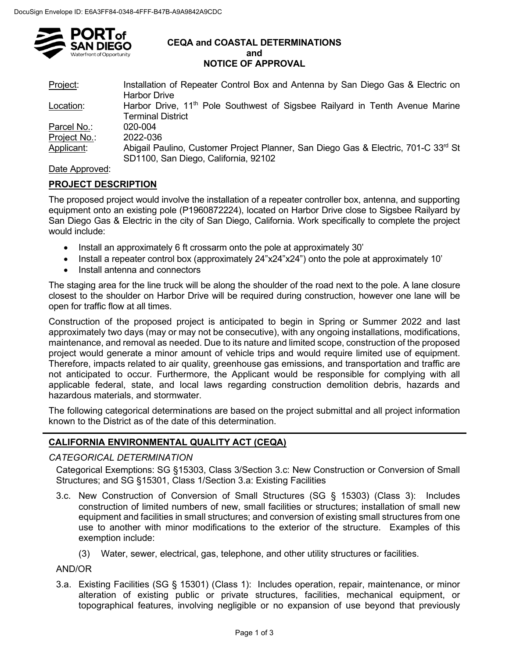

#### **CEQA and COASTAL DETERMINATIONS and NOTICE OF APPROVAL**

| Project:     | Installation of Repeater Control Box and Antenna by San Diego Gas & Electric on<br><b>Harbor Drive</b>                                 |
|--------------|----------------------------------------------------------------------------------------------------------------------------------------|
| Location:    | Harbor Drive, 11 <sup>th</sup> Pole Southwest of Sigsbee Railyard in Tenth Avenue Marine<br><b>Terminal District</b>                   |
| Parcel No.:  | 020-004                                                                                                                                |
| Project No.: | 2022-036                                                                                                                               |
| Applicant:   | Abigail Paulino, Customer Project Planner, San Diego Gas & Electric, 701-C 33 <sup>rd</sup> St<br>SD1100, San Diego, California, 92102 |

## Date Approved:

## **PROJECT DESCRIPTION**

The proposed project would involve the installation of a repeater controller box, antenna, and supporting equipment onto an existing pole (P1960872224), located on Harbor Drive close to Sigsbee Railyard by San Diego Gas & Electric in the city of San Diego, California. Work specifically to complete the project would include:

- Install an approximately 6 ft crossarm onto the pole at approximately 30'
- Install a repeater control box (approximately 24"x24"x24") onto the pole at approximately 10'
- Install antenna and connectors

The staging area for the line truck will be along the shoulder of the road next to the pole. A lane closure closest to the shoulder on Harbor Drive will be required during construction, however one lane will be open for traffic flow at all times.

Construction of the proposed project is anticipated to begin in Spring or Summer 2022 and last approximately two days (may or may not be consecutive), with any ongoing installations, modifications, maintenance, and removal as needed. Due to its nature and limited scope, construction of the proposed project would generate a minor amount of vehicle trips and would require limited use of equipment. Therefore, impacts related to air quality, greenhouse gas emissions, and transportation and traffic are not anticipated to occur. Furthermore, the Applicant would be responsible for complying with all applicable federal, state, and local laws regarding construction demolition debris, hazards and hazardous materials, and stormwater.

The following categorical determinations are based on the project submittal and all project information known to the District as of the date of this determination.

# **CALIFORNIA ENVIRONMENTAL QUALITY ACT (CEQA)**

## *CATEGORICAL DETERMINATION*

Categorical Exemptions: SG §15303, Class 3/Section 3.c: New Construction or Conversion of Small Structures; and SG §15301, Class 1/Section 3.a: Existing Facilities

- 3.c. New Construction of Conversion of Small Structures (SG § 15303) (Class 3): Includes construction of limited numbers of new, small facilities or structures; installation of small new equipment and facilities in small structures; and conversion of existing small structures from one use to another with minor modifications to the exterior of the structure. Examples of this exemption include:
	- (3) Water, sewer, electrical, gas, telephone, and other utility structures or facilities.

# AND/OR

3.a. Existing Facilities (SG § 15301) (Class 1): Includes operation, repair, maintenance, or minor alteration of existing public or private structures, facilities, mechanical equipment, or topographical features, involving negligible or no expansion of use beyond that previously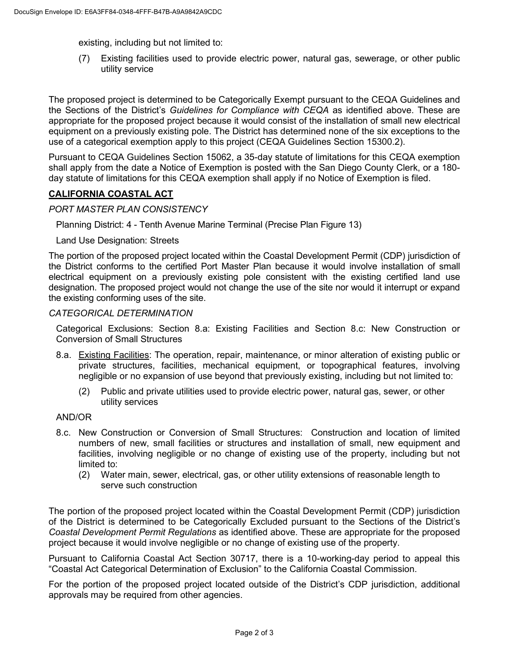existing, including but not limited to:

(7) Existing facilities used to provide electric power, natural gas, sewerage, or other public utility service

The proposed project is determined to be Categorically Exempt pursuant to the CEQA Guidelines and the Sections of the District's *Guidelines for Compliance with CEQA* as identified above. These are appropriate for the proposed project because it would consist of the installation of small new electrical equipment on a previously existing pole. The District has determined none of the six exceptions to the use of a categorical exemption apply to this project (CEQA Guidelines Section 15300.2).

Pursuant to CEQA Guidelines Section 15062, a 35-day statute of limitations for this CEQA exemption shall apply from the date a Notice of Exemption is posted with the San Diego County Clerk, or a 180 day statute of limitations for this CEQA exemption shall apply if no Notice of Exemption is filed.

### **CALIFORNIA COASTAL ACT**

### *PORT MASTER PLAN CONSISTENCY*

Planning District: 4 - Tenth Avenue Marine Terminal (Precise Plan Figure 13)

Land Use Designation: Streets

The portion of the proposed project located within the Coastal Development Permit (CDP) jurisdiction of the District conforms to the certified Port Master Plan because it would involve installation of small electrical equipment on a previously existing pole consistent with the existing certified land use designation. The proposed project would not change the use of the site nor would it interrupt or expand the existing conforming uses of the site.

### *CATEGORICAL DETERMINATION*

Categorical Exclusions: Section 8.a: Existing Facilities and Section 8.c: New Construction or Conversion of Small Structures

- 8.a. Existing Facilities: The operation, repair, maintenance, or minor alteration of existing public or private structures, facilities, mechanical equipment, or topographical features, involving negligible or no expansion of use beyond that previously existing, including but not limited to:
	- (2) Public and private utilities used to provide electric power, natural gas, sewer, or other utility services

### AND/OR

- 8.c. New Construction or Conversion of Small Structures: Construction and location of limited numbers of new, small facilities or structures and installation of small, new equipment and facilities, involving negligible or no change of existing use of the property, including but not limited to:
	- (2) Water main, sewer, electrical, gas, or other utility extensions of reasonable length to serve such construction

The portion of the proposed project located within the Coastal Development Permit (CDP) jurisdiction of the District is determined to be Categorically Excluded pursuant to the Sections of the District's *Coastal Development Permit Regulations* as identified above. These are appropriate for the proposed project because it would involve negligible or no change of existing use of the property.

Pursuant to California Coastal Act Section 30717, there is a 10-working-day period to appeal this "Coastal Act Categorical Determination of Exclusion" to the California Coastal Commission.

For the portion of the proposed project located outside of the District's CDP jurisdiction, additional approvals may be required from other agencies.